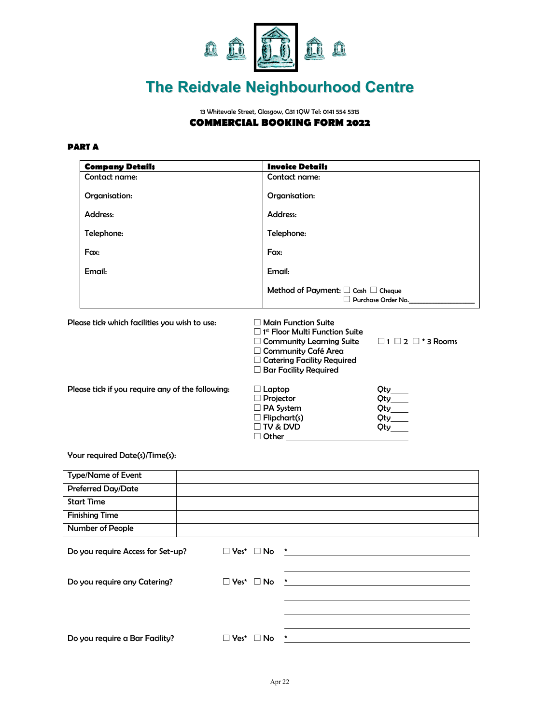

# **The Reidvale Neighbourhood Centre**

13 Whitevale Street, Glasgow, G31 1QW Tel: 0141 554 5315 **COMMERCIAL BOOKING FORM 2022** 

### **PART A**

|                                                  | <b>Company Details</b>                  |                                                                                                                 | <b>Invoice Details</b>                                                                                                                                                                                           |                                    |  |
|--------------------------------------------------|-----------------------------------------|-----------------------------------------------------------------------------------------------------------------|------------------------------------------------------------------------------------------------------------------------------------------------------------------------------------------------------------------|------------------------------------|--|
|                                                  | Contact name:                           |                                                                                                                 | Contact name:                                                                                                                                                                                                    |                                    |  |
|                                                  | Organisation:<br>Address:<br>Telephone: |                                                                                                                 | Organisation:<br>Address:<br>Telephone:                                                                                                                                                                          |                                    |  |
|                                                  |                                         |                                                                                                                 |                                                                                                                                                                                                                  |                                    |  |
|                                                  |                                         |                                                                                                                 |                                                                                                                                                                                                                  |                                    |  |
|                                                  | Fax:                                    |                                                                                                                 | Fax:                                                                                                                                                                                                             |                                    |  |
|                                                  | Email:                                  |                                                                                                                 | Email:                                                                                                                                                                                                           |                                    |  |
|                                                  |                                         |                                                                                                                 | Method of Payment: $\Box$ Cash $\Box$ Cheque                                                                                                                                                                     | D Purchase Order No.               |  |
| Please tick which facilities you wish to use:    |                                         |                                                                                                                 | $\Box$ Main Function Suite<br>$\Box$ 1 <sup>st</sup> Floor Multi Function Suite<br>$\Box$ Community Learning Suite<br>□ Community Café Area<br>$\Box$ Catering Facility Required<br>$\Box$ Bar Facility Required | $\Box$ 1 $\Box$ 2 $\Box$ * 3 Rooms |  |
| Please tick if you require any of the following: |                                         | $\Box$ Laptop<br>$\Box$ Projector<br>$\Box$ PA System<br>$\Box$ Flipchart(s)<br>$\Box$ TV & DVD<br>$\Box$ Other | $\begin{array}{c}\n\text{Qty}\n\\ \text{Qty}\n\\ \hline\n\end{array}$<br>$Qty$ $Qty$                                                                                                                             |                                    |  |

#### Your required Date(s)/Time(s):

| <b>Type/Name of Event</b>         |        |                       |         |
|-----------------------------------|--------|-----------------------|---------|
| <b>Preferred Day/Date</b>         |        |                       |         |
| <b>Start Time</b>                 |        |                       |         |
| <b>Finishing Time</b>             |        |                       |         |
| <b>Number of People</b>           |        |                       |         |
| Do you require Access for Set-up? |        | $\Box$ Yes* $\Box$ No | $\star$ |
| Do you require any Catering?      |        | $\Box$ Yes* $\Box$ No | *       |
|                                   |        |                       |         |
| Do you require a Bar Facility?    | □ Yes* | ∐ No                  |         |